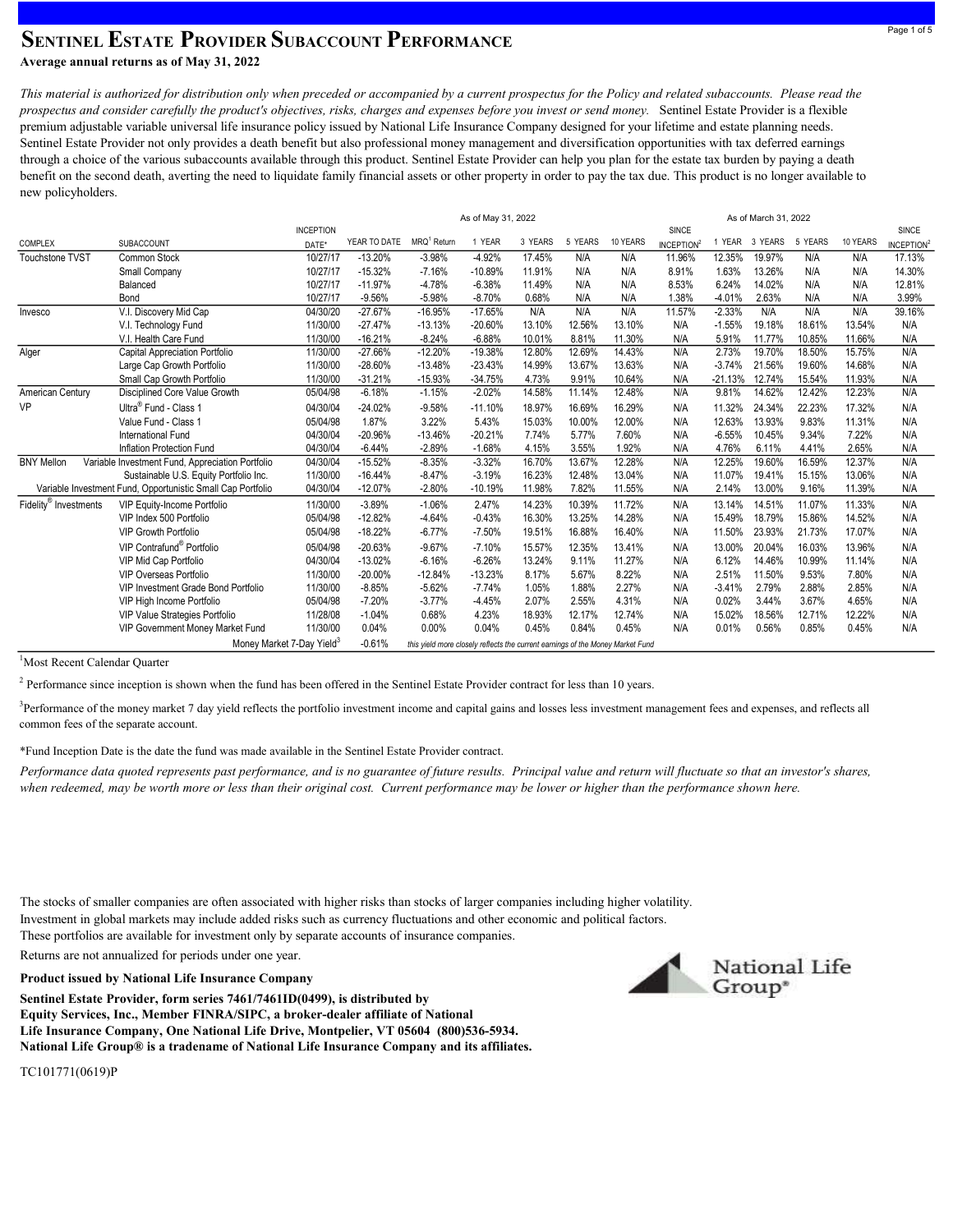## SENTINEL ESTATE PROVIDER SUBACCOUNT PERFORMANCE Average annual returns as of May 31, 2022

This material is authorized for distribution only when preceded or accompanied by a current prospectus for the Policy and related subaccounts. Please read the prospectus and consider carefully the product's objectives, risks, charges and expenses before you invest or send money. Sentinel Estate Provider is a flexible premium adjustable variable universal life insurance policy issued by National Life Insurance Company designed for your lifetime and estate planning needs. Sentinel Estate Provider not only provides a death benefit but also professional money management and diversification opportunities with tax deferred earnings through a choice of the various subaccounts available through this product. Sentinel Estate Provider can help you plan for the estate tax burden by paying a death benefit on the second death, averting the need to liquidate family financial assets or other property in order to pay the tax due. This product is no longer available to new policyholders.

|                                                             |                                                  |                                       |              | As of May 31, 2022                                                             |           |         |         |          | As of March 31, 2022   |             |         |         |          |                        |
|-------------------------------------------------------------|--------------------------------------------------|---------------------------------------|--------------|--------------------------------------------------------------------------------|-----------|---------|---------|----------|------------------------|-------------|---------|---------|----------|------------------------|
|                                                             |                                                  | <b>INCEPTION</b>                      |              |                                                                                |           |         |         |          | SINCE                  |             |         |         |          | SINCE                  |
| COMPLEX                                                     | SUBACCOUNT                                       | DATE*                                 | YEAR TO DATE | MRQ <sup>1</sup> Return                                                        | 1 YEAR    | 3 YEARS | 5 YEARS | 10 YEARS | INCEPTION <sup>2</sup> | <b>YEAR</b> | 3 YEARS | 5 YEARS | 10 YEARS | INCEPTION <sup>2</sup> |
| <b>Touchstone TVST</b>                                      | <b>Common Stock</b>                              | 10/27/17                              | $-13.20%$    | $-3.98%$                                                                       | $-4.92%$  | 17.45%  | N/A     | N/A      | 11.96%                 | 12.35%      | 19.97%  | N/A     | N/A      | 17.13%                 |
|                                                             | Small Company                                    | 10/27/17                              | $-15.32%$    | $-7.16%$                                                                       | $-10.89%$ | 11.91%  | N/A     | N/A      | 8.91%                  | 1.63%       | 13.26%  | N/A     | N/A      | 14.30%                 |
|                                                             | Balanced                                         | 10/27/17                              | $-11.97%$    | $-4.78%$                                                                       | $-6.38%$  | 11.49%  | N/A     | N/A      | 8.53%                  | 6.24%       | 14.02%  | N/A     | N/A      | 12.81%                 |
|                                                             | Bond                                             | 10/27/17                              | $-9.56%$     | $-5.98%$                                                                       | $-8.70%$  | 0.68%   | N/A     | N/A      | 1.38%                  | $-4.01%$    | 2.63%   | N/A     | N/A      | 3.99%                  |
| Invesco                                                     | V.I. Discovery Mid Cap                           | 04/30/20                              | $-27.67%$    | $-16.95%$                                                                      | $-17.65%$ | N/A     | N/A     | N/A      | 11.57%                 | $-2.33%$    | N/A     | N/A     | N/A      | 39.16%                 |
|                                                             | V.I. Technology Fund                             | 11/30/00                              | $-27.47%$    | $-13.13%$                                                                      | $-20.60%$ | 13.10%  | 12.56%  | 13.10%   | N/A                    | $-1.55%$    | 19.18%  | 18.61%  | 13.54%   | N/A                    |
|                                                             | V.I. Health Care Fund                            | 11/30/00                              | $-16.21%$    | $-8.24%$                                                                       | $-6.88%$  | 10.01%  | 8.81%   | 11.30%   | N/A                    | 5.91%       | 11.77%  | 10.85%  | 11.66%   | N/A                    |
| Alger                                                       | Capital Appreciation Portfolio                   | 11/30/00                              | $-27.66%$    | $-12.20%$                                                                      | $-19.38%$ | 12.80%  | 12.69%  | 14.43%   | N/A                    | 2.73%       | 19.70%  | 18.50%  | 15.75%   | N/A                    |
|                                                             | Large Cap Growth Portfolio                       | 11/30/00                              | $-28.60%$    | $-13.48%$                                                                      | $-23.43%$ | 14.99%  | 13.67%  | 13.63%   | N/A                    | $-3.74%$    | 21.56%  | 19.60%  | 14.68%   | N/A                    |
|                                                             | Small Cap Growth Portfolio                       | 11/30/00                              | $-31.21%$    | $-15.93%$                                                                      | $-34.75%$ | 4.73%   | 9.91%   | 10.64%   | N/A                    | $-21.13%$   | 12.74%  | 15.54%  | 11.93%   | N/A                    |
| American Century                                            | Disciplined Core Value Growth                    | 05/04/98                              | $-6.18%$     | $-1.15%$                                                                       | $-2.02%$  | 14.58%  | 11.14%  | 12.48%   | N/A                    | 9.81%       | 14.62%  | 12.42%  | 12.23%   | N/A                    |
| <b>VP</b>                                                   | Ultra <sup>®</sup> Fund - Class 1                | 04/30/04                              | $-24.02%$    | $-9.58%$                                                                       | $-11.10%$ | 18.97%  | 16.69%  | 16.29%   | N/A                    | 11.32%      | 24.34%  | 22.23%  | 17.32%   | N/A                    |
|                                                             | Value Fund - Class 1                             | 05/04/98                              | 1.87%        | 3.22%                                                                          | 5.43%     | 15.03%  | 10.00%  | 12.00%   | N/A                    | 12.63%      | 13.93%  | 9.83%   | 11.31%   | N/A                    |
|                                                             | <b>International Fund</b>                        | 04/30/04                              | $-20.96%$    | $-13.46%$                                                                      | $-20.21%$ | 7.74%   | 5.77%   | 7.60%    | N/A                    | $-6.55%$    | 10.45%  | 9.34%   | 7.22%    | N/A                    |
|                                                             | Inflation Protection Fund                        | 04/30/04                              | $-6.44%$     | $-2.89%$                                                                       | $-1.68%$  | 4.15%   | 3.55%   | 1.92%    | N/A                    | 4.76%       | 6.11%   | 4.41%   | 2.65%    | N/A                    |
| <b>BNY Mellon</b>                                           | Variable Investment Fund, Appreciation Portfolio | 04/30/04                              | $-15.52%$    | $-8.35%$                                                                       | $-3.32%$  | 16.70%  | 13.67%  | 12.28%   | N/A                    | 12.25%      | 19.60%  | 16.59%  | 12.37%   | N/A                    |
|                                                             | Sustainable U.S. Equity Portfolio Inc.           | 11/30/00                              | $-16.44%$    | $-8.47%$                                                                       | $-3.19%$  | 16.23%  | 12.48%  | 13.04%   | N/A                    | 11.07%      | 19.41%  | 15.15%  | 13.06%   | N/A                    |
| Variable Investment Fund, Opportunistic Small Cap Portfolio |                                                  | 04/30/04                              | $-12.07%$    | $-2.80%$                                                                       | $-10.19%$ | 11.98%  | 7.82%   | 11.55%   | N/A                    | 2.14%       | 13.00%  | 9.16%   | 11.39%   | N/A                    |
| Fidelity <sup>®</sup> Investments                           | VIP Equity-Income Portfolio                      | 11/30/00                              | $-3.89%$     | $-1.06%$                                                                       | 2.47%     | 14.23%  | 10.39%  | 11.72%   | N/A                    | 13.14%      | 14.51%  | 11.07%  | 11.33%   | N/A                    |
|                                                             | VIP Index 500 Portfolio                          | 05/04/98                              | $-12.82%$    | $-4.64%$                                                                       | $-0.43%$  | 16.30%  | 13.25%  | 14.28%   | N/A                    | 15.49%      | 18.79%  | 15.86%  | 14.52%   | N/A                    |
|                                                             | <b>VIP Growth Portfolio</b>                      | 05/04/98                              | $-18.22%$    | $-6.77%$                                                                       | $-7.50%$  | 19.51%  | 16.88%  | 16.40%   | N/A                    | 11.50%      | 23.93%  | 21.73%  | 17.07%   | N/A                    |
|                                                             | VIP Contrafund <sup>®</sup> Portfolio            | 05/04/98                              | $-20.63%$    | $-9.67%$                                                                       | $-7.10%$  | 15.57%  | 12.35%  | 13.41%   | N/A                    | 13.00%      | 20.04%  | 16.03%  | 13.96%   | N/A                    |
|                                                             | VIP Mid Cap Portfolio                            | 04/30/04                              | $-13.02%$    | $-6.16%$                                                                       | $-6.26%$  | 13.24%  | 9.11%   | 11.27%   | N/A                    | 6.12%       | 14.46%  | 10.99%  | 11.14%   | N/A                    |
|                                                             | VIP Overseas Portfolio                           | 11/30/00                              | $-20.00%$    | $-12.84%$                                                                      | $-13.23%$ | 8.17%   | 5.67%   | 8.22%    | N/A                    | 2.51%       | 11.50%  | 9.53%   | 7.80%    | N/A                    |
|                                                             | VIP Investment Grade Bond Portfolio              | 11/30/00                              | $-8.85%$     | $-5.62%$                                                                       | $-7.74%$  | 1.05%   | 1.88%   | 2.27%    | N/A                    | $-3.41%$    | 2.79%   | 2.88%   | 2.85%    | N/A                    |
|                                                             | VIP High Income Portfolio                        | 05/04/98                              | $-7.20%$     | $-3.77%$                                                                       | $-4.45%$  | 2.07%   | 2.55%   | 4.31%    | N/A                    | 0.02%       | 3.44%   | 3.67%   | 4.65%    | N/A                    |
|                                                             | VIP Value Strategies Portfolio                   | 11/28/08                              | $-1.04%$     | 0.68%                                                                          | 4.23%     | 18.93%  | 12.17%  | 12.74%   | N/A                    | 15.02%      | 18.56%  | 12.71%  | 12.22%   | N/A                    |
|                                                             | VIP Government Money Market Fund                 | 11/30/00                              | 0.04%        | 0.00%                                                                          | 0.04%     | 0.45%   | 0.84%   | 0.45%    | N/A                    | 0.01%       | 0.56%   | 0.85%   | 0.45%    | N/A                    |
|                                                             |                                                  | Money Market 7-Day Yield <sup>3</sup> | $-0.61%$     | this yield more closely reflects the current earnings of the Money Market Fund |           |         |         |          |                        |             |         |         |          |                        |
|                                                             |                                                  |                                       |              |                                                                                |           |         |         |          |                        |             |         |         |          |                        |

<sup>1</sup>Most Recent Calendar Ouarter

<sup>2</sup> Performance since inception is shown when the fund has been offered in the Sentinel Estate Provider contract for less than 10 years.

<sup>3</sup>Performance of the money market 7 day yield reflects the portfolio investment income and capital gains and losses less investment management fees and expenses, and reflects all common fees of the separate account.

\*Fund Inception Date is the date the fund was made available in the Sentinel Estate Provider contract.

Performance data quoted represents past performance, and is no guarantee of future results. Principal value and return will fluctuate so that an investor's shares, when redeemed, may be worth more or less than their original cost. Current performance may be lower or higher than the performance shown here.

The stocks of smaller companies are often associated with higher risks than stocks of larger companies including higher volatility. Investment in global markets may include added risks such as currency fluctuations and other economic and political factors. These portfolios are available for investment only by separate accounts of insurance companies.

Returns are not annualized for periods under one year.

Product issued by National Life Insurance Company

National Life Group® is a tradename of National Life Insurance Company and its affiliates. Life Insurance Company, One National Life Drive, Montpelier, VT 05604 (800)536-5934. Equity Services, Inc., Member FINRA/SIPC, a broker-dealer affiliate of National Sentinel Estate Provider, form series 7461/7461ID(0499), is distributed by



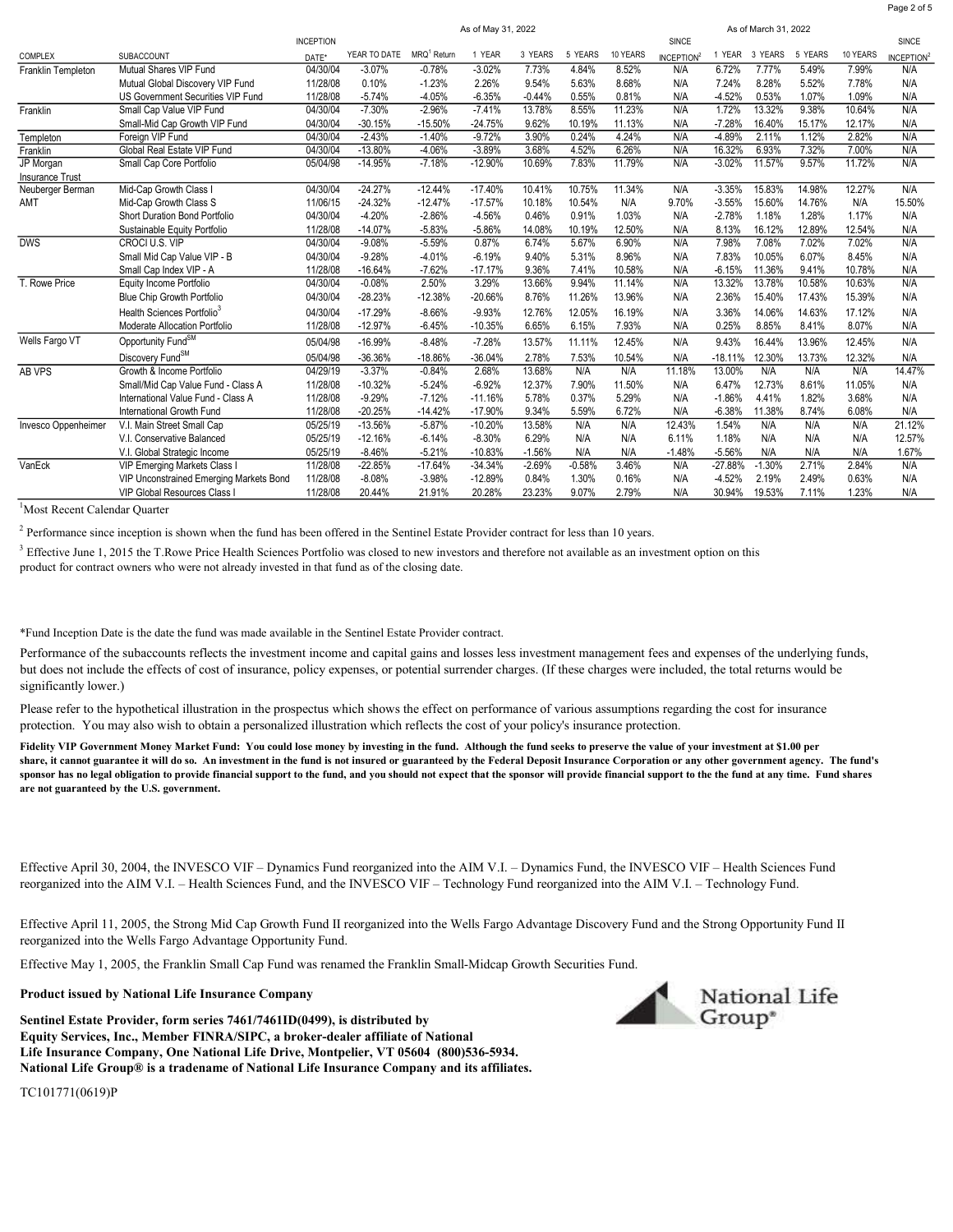|                        |                                         |                  |              | As of May 31, 2022      |           |          |          |          |                        |           |          |         |          |                        |
|------------------------|-----------------------------------------|------------------|--------------|-------------------------|-----------|----------|----------|----------|------------------------|-----------|----------|---------|----------|------------------------|
|                        |                                         | <b>INCEPTION</b> |              |                         |           |          |          |          | SINCE                  |           |          |         |          | SINCE                  |
| COMPLEX                | SUBACCOUNT                              | DATE*            | YEAR TO DATE | MRQ <sup>1</sup> Return | 1 YEAR    | 3 YEARS  | 5 YEARS  | 10 YEARS | INCEPTION <sup>2</sup> | 1 YEAR    | 3 YEARS  | 5 YEARS | 10 YEARS | INCEPTION <sup>2</sup> |
| Franklin Templeton     | Mutual Shares VIP Fund                  | 04/30/04         | $-3.07%$     | $-0.78%$                | $-3.02%$  | 7.73%    | 4.84%    | 8.52%    | N/A                    | 6.72%     | 7.77%    | 5.49%   | 7.99%    | N/A                    |
|                        | Mutual Global Discovery VIP Fund        | 11/28/08         | 0.10%        | $-1.23%$                | 2.26%     | 9.54%    | 5.63%    | 8.68%    | N/A                    | 7.24%     | 8.28%    | 5.52%   | 7.78%    | N/A                    |
|                        | US Government Securities VIP Fund       | 11/28/08         | $-5.74%$     | $-4.05%$                | $-6.35%$  | $-0.44%$ | 0.55%    | 0.81%    | N/A                    | $-4.52%$  | 0.53%    | 1.07%   | 1.09%    | N/A                    |
| Franklin               | Small Cap Value VIP Fund                | 04/30/04         | $-7.30%$     | $-2.96%$                | $-7.41%$  | 13.78%   | 8.55%    | 11.23%   | N/A                    | 1.72%     | 13.32%   | 9.38%   | 10.64%   | N/A                    |
|                        | Small-Mid Cap Growth VIP Fund           | 04/30/04         | $-30.15%$    | $-15.50%$               | $-24.75%$ | 9.62%    | 10.19%   | 11.13%   | N/A                    | $-7.28%$  | 16.40%   | 15.17%  | 12.17%   | N/A                    |
| Templeton              | Foreign VIP Fund                        | 04/30/04         | $-2.43%$     | $-1.40%$                | $-9.72%$  | 3.90%    | 0.24%    | 4.24%    | N/A                    | $-4.89%$  | 2.11%    | 1.12%   | 2.82%    | N/A                    |
| Franklin               | Global Real Estate VIP Fund             | 04/30/04         | $-13.80%$    | $-4.06%$                | $-3.89%$  | 3.68%    | 4.52%    | 6.26%    | N/A                    | 16.32%    | 6.93%    | 7.32%   | 7.00%    | N/A                    |
| JP Morgan              | Small Cap Core Portfolio                | 05/04/98         | $-14.95%$    | $-7.18%$                | $-12.90%$ | 10.69%   | 7.83%    | 11.79%   | N/A                    | $-3.02%$  | 11.57%   | 9.57%   | 11.72%   | N/A                    |
| <b>Insurance Trust</b> |                                         |                  |              |                         |           |          |          |          |                        |           |          |         |          |                        |
| Neuberger Berman       | Mid-Cap Growth Class I                  | 04/30/04         | $-24.27%$    | $-12.44%$               | $-17.40%$ | 10.41%   | 10.75%   | 11.34%   | N/A                    | $-3.35%$  | 15.83%   | 14.98%  | 12.27%   | N/A                    |
| AMT                    | Mid-Cap Growth Class S                  | 11/06/15         | $-24.32%$    | $-12.47%$               | $-17.57%$ | 10.18%   | 10.54%   | N/A      | 9.70%                  | $-3.55%$  | 15.60%   | 14.76%  | N/A      | 15.50%                 |
|                        | <b>Short Duration Bond Portfolio</b>    | 04/30/04         | $-4.20%$     | $-2.86%$                | $-4.56%$  | 0.46%    | 0.91%    | 1.03%    | N/A                    | $-2.78%$  | 1.18%    | 1.28%   | 1.17%    | N/A                    |
|                        | Sustainable Equity Portfolio            | 11/28/08         | $-14.07%$    | $-5.83%$                | $-5.86%$  | 14.08%   | 10.19%   | 12.50%   | N/A                    | 8.13%     | 16.12%   | 12.89%  | 12.54%   | N/A                    |
| <b>DWS</b>             | CROCI U.S. VIP                          | 04/30/04         | $-9.08%$     | $-5.59%$                | 0.87%     | 6.74%    | 5.67%    | 6.90%    | N/A                    | 7.98%     | 7.08%    | 7.02%   | 7.02%    | N/A                    |
|                        | Small Mid Cap Value VIP - B             | 04/30/04         | $-9.28%$     | $-4.01%$                | $-6.19%$  | 9.40%    | 5.31%    | 8.96%    | N/A                    | 7.83%     | 10.05%   | 6.07%   | 8.45%    | N/A                    |
|                        | Small Cap Index VIP - A                 | 11/28/08         | $-16.64%$    | $-7.62%$                | $-17.17%$ | 9.36%    | 7.41%    | 10.58%   | N/A                    | $-6.15%$  | 11.36%   | 9.41%   | 10.78%   | N/A                    |
| T. Rowe Price          | Equity Income Portfolio                 | 04/30/04         | $-0.08%$     | 2.50%                   | 3.29%     | 13.66%   | 9.94%    | 11.14%   | N/A                    | 13.32%    | 13.78%   | 10.58%  | 10.63%   | N/A                    |
|                        | Blue Chip Growth Portfolio              | 04/30/04         | $-28.23%$    | $-12.38%$               | $-20.66%$ | 8.76%    | 11.26%   | 13.96%   | N/A                    | 2.36%     | 15.40%   | 17.43%  | 15.39%   | N/A                    |
|                        | Health Sciences Portfolio <sup>3</sup>  | 04/30/04         | $-17.29%$    | $-8.66%$                | $-9.93%$  | 12.76%   | 12.05%   | 16.19%   | N/A                    | 3.36%     | 14.06%   | 14.63%  | 17.12%   | N/A                    |
|                        | Moderate Allocation Portfolio           | 11/28/08         | $-12.97%$    | $-6.45%$                | $-10.35%$ | 6.65%    | 6.15%    | 7.93%    | N/A                    | 0.25%     | 8.85%    | 8.41%   | 8.07%    | N/A                    |
| Wells Fargo VT         | Opportunity Fund <sup>SM</sup>          | 05/04/98         | $-16.99%$    | $-8.48%$                | $-7.28%$  | 13.57%   | 11.11%   | 12.45%   | N/A                    | 9.43%     | 16.44%   | 13.96%  | 12.45%   | N/A                    |
|                        | Discovery Fund <sup>SM</sup>            | 05/04/98         | $-36.36%$    | $-18.86%$               | $-36.04%$ | 2.78%    | 7.53%    | 10.54%   | N/A                    | $-18.11%$ | 12.30%   | 13.73%  | 12.32%   | N/A                    |
| AB VPS                 | Growth & Income Portfolio               | 04/29/19         | $-3.37%$     | $-0.84%$                | 2.68%     | 13.68%   | N/A      | N/A      | 11.18%                 | 13.00%    | N/A      | N/A     | N/A      | 14.47%                 |
|                        | Small/Mid Cap Value Fund - Class A      | 11/28/08         | $-10.32%$    | $-5.24%$                | $-6.92%$  | 12.37%   | 7.90%    | 11.50%   | N/A                    | 6.47%     | 12.73%   | 8.61%   | 11.05%   | N/A                    |
|                        | International Value Fund - Class A      | 11/28/08         | $-9.29%$     | $-7.12%$                | $-11.16%$ | 5.78%    | 0.37%    | 5.29%    | N/A                    | $-1.86%$  | 4.41%    | 1.82%   | 3.68%    | N/A                    |
|                        | International Growth Fund               | 11/28/08         | $-20.25%$    | $-14.42%$               | $-17.90%$ | 9.34%    | 5.59%    | 6.72%    | N/A                    | $-6.38%$  | 11.38%   | 8.74%   | 6.08%    | N/A                    |
| Invesco Oppenheimer    | V.I. Main Street Small Cap              | 05/25/19         | $-13.56%$    | $-5.87%$                | $-10.20%$ | 13.58%   | N/A      | N/A      | 12.43%                 | 1.54%     | N/A      | N/A     | N/A      | 21.12%                 |
|                        | V.I. Conservative Balanced              | 05/25/19         | $-12.16%$    | $-6.14%$                | $-8.30%$  | 6.29%    | N/A      | N/A      | 6.11%                  | 1.18%     | N/A      | N/A     | N/A      | 12.57%                 |
|                        | V.I. Global Strategic Income            | 05/25/19         | $-8.46%$     | $-5.21%$                | $-10.83%$ | $-1.56%$ | N/A      | N/A      | $-1.48%$               | $-5.56%$  | N/A      | N/A     | N/A      | 1.67%                  |
| VanEck                 | VIP Emerging Markets Class I            | 11/28/08         | $-22.85%$    | $-17.64%$               | $-34.34%$ | $-2.69%$ | $-0.58%$ | 3.46%    | N/A                    | $-27.88%$ | $-1.30%$ | 2.71%   | 2.84%    | N/A                    |
|                        | VIP Unconstrained Emerging Markets Bond | 11/28/08         | $-8.08%$     | $-3.98%$                | $-12.89%$ | 0.84%    | 1.30%    | 0.16%    | N/A                    | $-4.52%$  | 2.19%    | 2.49%   | 0.63%    | N/A                    |
|                        | VIP Global Resources Class I            | 11/28/08         | 20.44%       | 21.91%                  | 20.28%    | 23.23%   | 9.07%    | 2.79%    | N/A                    | 30.94%    | 19.53%   | 7.11%   | 1.23%    | N/A                    |

<sup>1</sup>Most Recent Calendar Quarter

<sup>2</sup> Performance since inception is shown when the fund has been offered in the Sentinel Estate Provider contract for less than 10 years.

 $<sup>3</sup>$  Effective June 1, 2015 the T.Rowe Price Health Sciences Portfolio was closed to new investors and therefore not available as an investment option on this</sup> product for contract owners who were not already invested in that fund as of the closing date.

\*Fund Inception Date is the date the fund was made available in the Sentinel Estate Provider contract.

Performance of the subaccounts reflects the investment income and capital gains and losses less investment management fees and expenses of the underlying funds, but does not include the effects of cost of insurance, policy expenses, or potential surrender charges. (If these charges were included, the total returns would be significantly lower.)

Please refer to the hypothetical illustration in the prospectus which shows the effect on performance of various assumptions regarding the cost for insurance protection. You may also wish to obtain a personalized illustration which reflects the cost of your policy's insurance protection.

Fidelity VIP Government Money Market Fund: You could lose money by investing in the fund. Although the fund seeks to preserve the value of your investment at \$1.00 per share, it cannot guarantee it will do so. An investment in the fund is not insured or guaranteed by the Federal Deposit Insurance Corporation or any other government agency. The fund's sponsor has no legal obligation to provide financial support to the fund, and you should not expect that the sponsor will provide financial support to the the fund at any time. Fund shares are not guaranteed by the U.S. government.

Effective April 30, 2004, the INVESCO VIF – Dynamics Fund reorganized into the AIM V.I. – Dynamics Fund, the INVESCO VIF – Health Sciences Fund reorganized into the AIM V.I. – Health Sciences Fund, and the INVESCO VIF – Technology Fund reorganized into the AIM V.I. – Technology Fund.

Effective April 11, 2005, the Strong Mid Cap Growth Fund II reorganized into the Wells Fargo Advantage Discovery Fund and the Strong Opportunity Fund II reorganized into the Wells Fargo Advantage Opportunity Fund.

Effective May 1, 2005, the Franklin Small Cap Fund was renamed the Franklin Small-Midcap Growth Securities Fund.

## Product issued by National Life Insurance Company

Sentinel Estate Provider, form series 7461/7461ID(0499), is distributed by Life Insurance Company, One National Life Drive, Montpelier, VT 05604 (800)536-5934. Equity Services, Inc., Member FINRA/SIPC, a broker-dealer affiliate of National National Life Group® is a tradename of National Life Insurance Company and its affiliates.





Page 2 of 5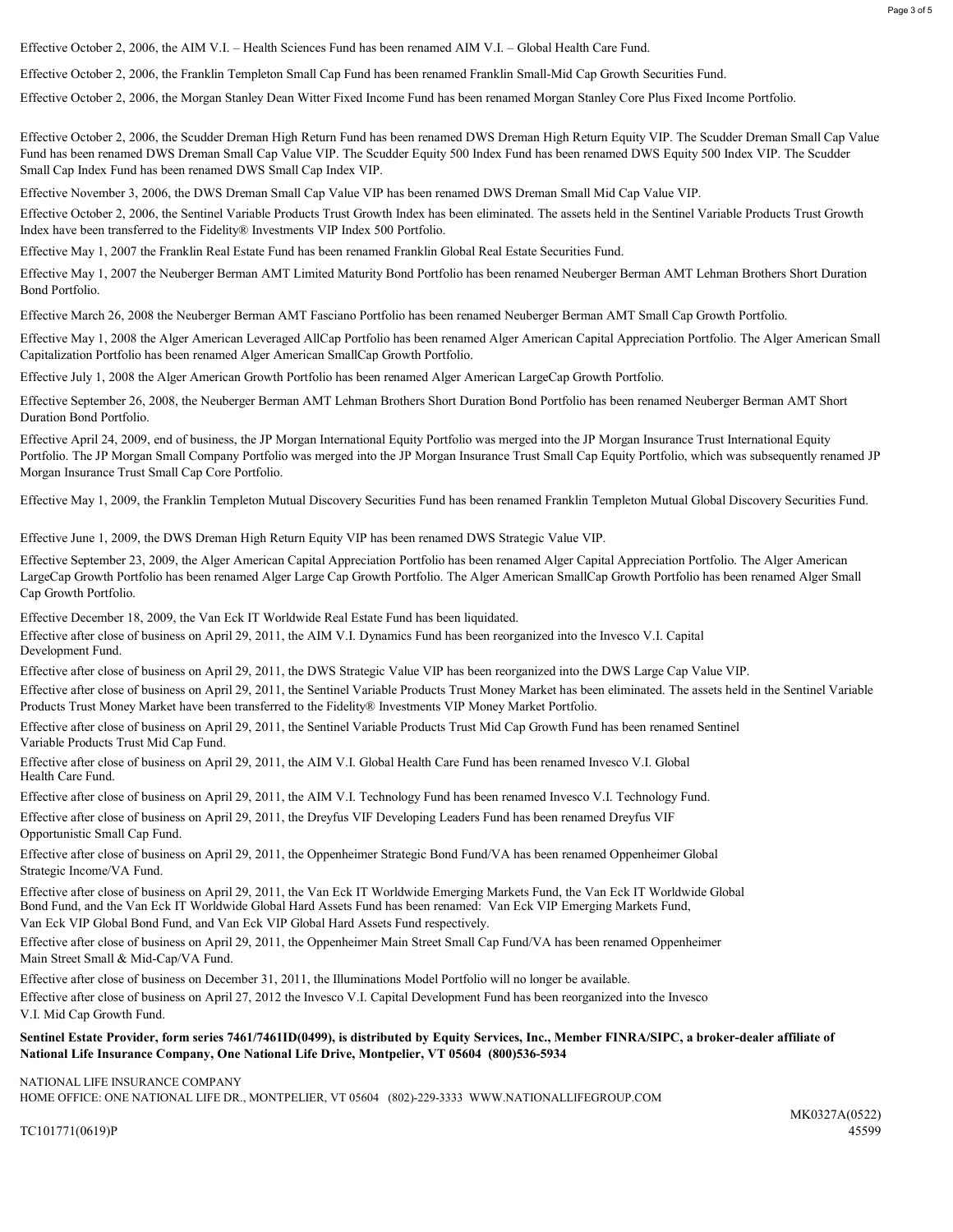Effective October 2, 2006, the AIM V.I. – Health Sciences Fund has been renamed AIM V.I. – Global Health Care Fund.

Effective October 2, 2006, the Franklin Templeton Small Cap Fund has been renamed Franklin Small-Mid Cap Growth Securities Fund.

Effective October 2, 2006, the Morgan Stanley Dean Witter Fixed Income Fund has been renamed Morgan Stanley Core Plus Fixed Income Portfolio.

Effective October 2, 2006, the Scudder Dreman High Return Fund has been renamed DWS Dreman High Return Equity VIP. The Scudder Dreman Small Cap Value Fund has been renamed DWS Dreman Small Cap Value VIP. The Scudder Equity 500 Index Fund has been renamed DWS Equity 500 Index VIP. The Scudder Small Cap Index Fund has been renamed DWS Small Cap Index VIP.

Effective November 3, 2006, the DWS Dreman Small Cap Value VIP has been renamed DWS Dreman Small Mid Cap Value VIP.

Effective October 2, 2006, the Sentinel Variable Products Trust Growth Index has been eliminated. The assets held in the Sentinel Variable Products Trust Growth Index have been transferred to the Fidelity® Investments VIP Index 500 Portfolio.

Effective May 1, 2007 the Franklin Real Estate Fund has been renamed Franklin Global Real Estate Securities Fund.

Effective May 1, 2007 the Neuberger Berman AMT Limited Maturity Bond Portfolio has been renamed Neuberger Berman AMT Lehman Brothers Short Duration Bond Portfolio.

Effective March 26, 2008 the Neuberger Berman AMT Fasciano Portfolio has been renamed Neuberger Berman AMT Small Cap Growth Portfolio.

Effective May 1, 2008 the Alger American Leveraged AllCap Portfolio has been renamed Alger American Capital Appreciation Portfolio. The Alger American Small Capitalization Portfolio has been renamed Alger American SmallCap Growth Portfolio.

Effective July 1, 2008 the Alger American Growth Portfolio has been renamed Alger American LargeCap Growth Portfolio.

Effective September 26, 2008, the Neuberger Berman AMT Lehman Brothers Short Duration Bond Portfolio has been renamed Neuberger Berman AMT Short Duration Bond Portfolio.

Effective April 24, 2009, end of business, the JP Morgan International Equity Portfolio was merged into the JP Morgan Insurance Trust International Equity Portfolio. The JP Morgan Small Company Portfolio was merged into the JP Morgan Insurance Trust Small Cap Equity Portfolio, which was subsequently renamed JP Morgan Insurance Trust Small Cap Core Portfolio.

Effective May 1, 2009, the Franklin Templeton Mutual Discovery Securities Fund has been renamed Franklin Templeton Mutual Global Discovery Securities Fund.

Effective June 1, 2009, the DWS Dreman High Return Equity VIP has been renamed DWS Strategic Value VIP.

Effective September 23, 2009, the Alger American Capital Appreciation Portfolio has been renamed Alger Capital Appreciation Portfolio. The Alger American LargeCap Growth Portfolio has been renamed Alger Large Cap Growth Portfolio. The Alger American SmallCap Growth Portfolio has been renamed Alger Small Cap Growth Portfolio.

Effective December 18, 2009, the Van Eck IT Worldwide Real Estate Fund has been liquidated.

Development Fund. Effective after close of business on April 29, 2011, the AIM V.I. Dynamics Fund has been reorganized into the Invesco V.I. Capital

Effective after close of business on April 29, 2011, the DWS Strategic Value VIP has been reorganized into the DWS Large Cap Value VIP.

Effective after close of business on April 29, 2011, the Sentinel Variable Products Trust Money Market has been eliminated. The assets held in the Sentinel Variable Products Trust Money Market have been transferred to the Fidelity® Investments VIP Money Market Portfolio.

Effective after close of business on April 29, 2011, the Sentinel Variable Products Trust Mid Cap Growth Fund has been renamed Sentinel Variable Products Trust Mid Cap Fund.

Effective after close of business on April 29, 2011, the AIM V.I. Global Health Care Fund has been renamed Invesco V.I. Global Health Care Fund.

Effective after close of business on April 29, 2011, the AIM V.I. Technology Fund has been renamed Invesco V.I. Technology Fund. Effective after close of business on April 29, 2011, the Dreyfus VIF Developing Leaders Fund has been renamed Dreyfus VIF Opportunistic Small Cap Fund.

Effective after close of business on April 29, 2011, the Oppenheimer Strategic Bond Fund/VA has been renamed Oppenheimer Global Strategic Income/VA Fund.

Effective after close of business on April 29, 2011, the Van Eck IT Worldwide Emerging Markets Fund, the Van Eck IT Worldwide Global Bond Fund, and the Van Eck IT Worldwide Global Hard Assets Fund has been renamed: Van Eck VIP Emerging Markets Fund, Van Eck VIP Global Bond Fund, and Van Eck VIP Global Hard Assets Fund respectively.

Effective after close of business on April 29, 2011, the Oppenheimer Main Street Small Cap Fund/VA has been renamed Oppenheimer Main Street Small & Mid-Cap/VA Fund.

Effective after close of business on December 31, 2011, the Illuminations Model Portfolio will no longer be available.

Effective after close of business on April 27, 2012 the Invesco V.I. Capital Development Fund has been reorganized into the Invesco V.I. Mid Cap Growth Fund.

## Sentinel Estate Provider, form series 7461/7461ID(0499), is distributed by Equity Services, Inc., Member FINRA/SIPC, a broker-dealer affiliate of National Life Insurance Company, One National Life Drive, Montpelier, VT 05604 (800)536-5934

NATIONAL LIFE INSURANCE COMPANY HOME OFFICE: ONE NATIONAL LIFE DR., MONTPELIER, VT 05604 (802)-229-3333 WWW.NATIONALLIFEGROUP.COM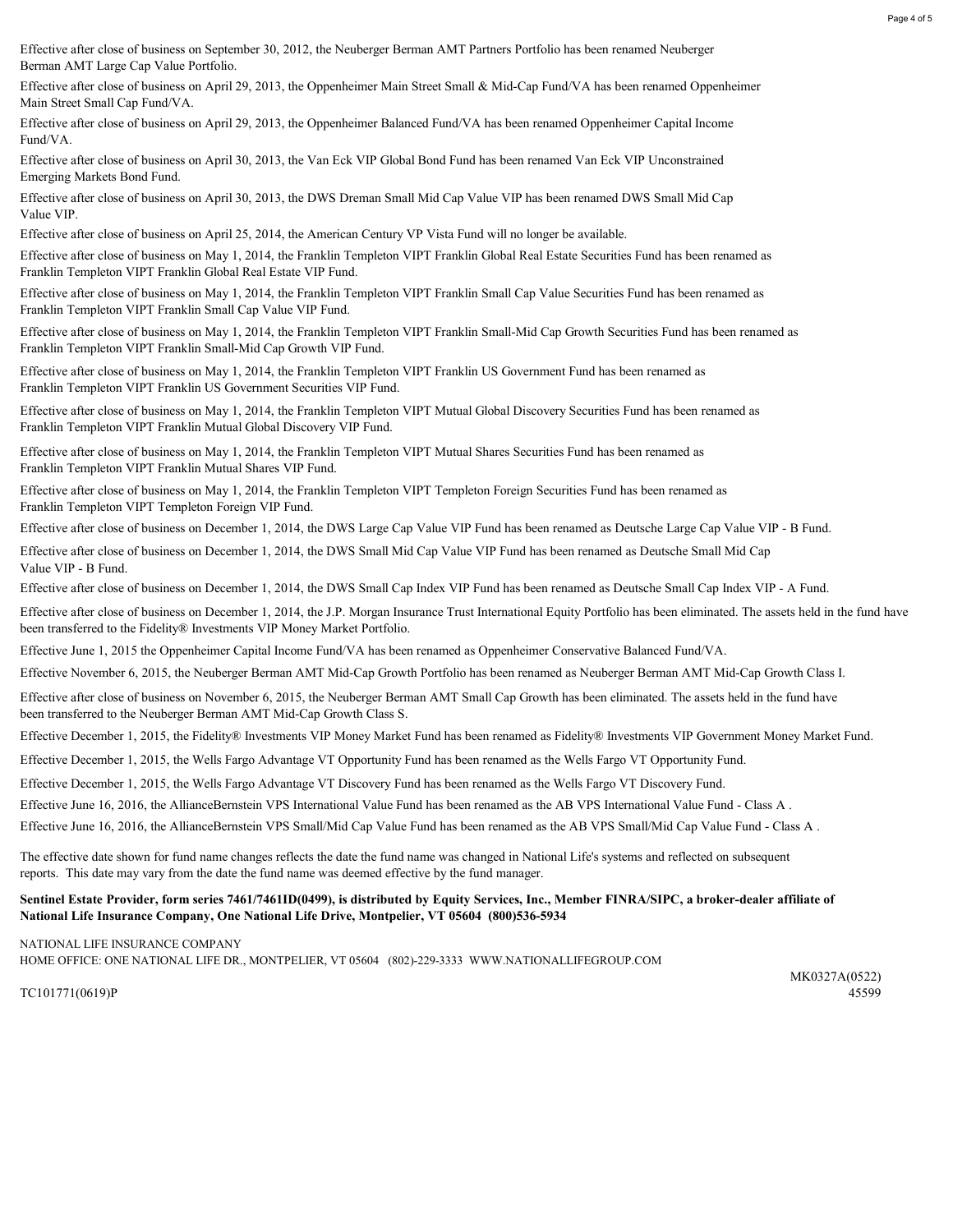Page 4 of 5

Effective after close of business on September 30, 2012, the Neuberger Berman AMT Partners Portfolio has been renamed Neuberger Berman AMT Large Cap Value Portfolio.

Main Street Small Cap Fund/VA. Effective after close of business on April 29, 2013, the Oppenheimer Main Street Small & Mid-Cap Fund/VA has been renamed Oppenheimer

Effective after close of business on April 29, 2013, the Oppenheimer Balanced Fund/VA has been renamed Oppenheimer Capital Income Fund/VA.

Emerging Markets Bond Fund. Effective after close of business on April 30, 2013, the Van Eck VIP Global Bond Fund has been renamed Van Eck VIP Unconstrained

Value VIP. Effective after close of business on April 30, 2013, the DWS Dreman Small Mid Cap Value VIP has been renamed DWS Small Mid Cap

Effective after close of business on April 25, 2014, the American Century VP Vista Fund will no longer be available.

Franklin Templeton VIPT Franklin Global Real Estate VIP Fund. Effective after close of business on May 1, 2014, the Franklin Templeton VIPT Franklin Global Real Estate Securities Fund has been renamed as

Franklin Templeton VIPT Franklin Small Cap Value VIP Fund. Effective after close of business on May 1, 2014, the Franklin Templeton VIPT Franklin Small Cap Value Securities Fund has been renamed as

Franklin Templeton VIPT Franklin Small-Mid Cap Growth VIP Fund. Effective after close of business on May 1, 2014, the Franklin Templeton VIPT Franklin Small-Mid Cap Growth Securities Fund has been renamed as

Franklin Templeton VIPT Franklin US Government Securities VIP Fund. Effective after close of business on May 1, 2014, the Franklin Templeton VIPT Franklin US Government Fund has been renamed as

Franklin Templeton VIPT Franklin Mutual Global Discovery VIP Fund. Effective after close of business on May 1, 2014, the Franklin Templeton VIPT Mutual Global Discovery Securities Fund has been renamed as

Franklin Templeton VIPT Franklin Mutual Shares VIP Fund. Effective after close of business on May 1, 2014, the Franklin Templeton VIPT Mutual Shares Securities Fund has been renamed as

Franklin Templeton VIPT Templeton Foreign VIP Fund. Effective after close of business on May 1, 2014, the Franklin Templeton VIPT Templeton Foreign Securities Fund has been renamed as

Effective after close of business on December 1, 2014, the DWS Large Cap Value VIP Fund has been renamed as Deutsche Large Cap Value VIP - B Fund.

Effective after close of business on December 1, 2014, the DWS Small Mid Cap Value VIP Fund has been renamed as Deutsche Small Mid Cap Value VIP - B Fund.

Effective after close of business on December 1, 2014, the DWS Small Cap Index VIP Fund has been renamed as Deutsche Small Cap Index VIP - A Fund.

Effective after close of business on December 1, 2014, the J.P. Morgan Insurance Trust International Equity Portfolio has been eliminated. The assets held in the fund have been transferred to the Fidelity® Investments VIP Money Market Portfolio.

Effective June 1, 2015 the Oppenheimer Capital Income Fund/VA has been renamed as Oppenheimer Conservative Balanced Fund/VA.

Effective November 6, 2015, the Neuberger Berman AMT Mid-Cap Growth Portfolio has been renamed as Neuberger Berman AMT Mid-Cap Growth Class I.

Effective after close of business on November 6, 2015, the Neuberger Berman AMT Small Cap Growth has been eliminated. The assets held in the fund have been transferred to the Neuberger Berman AMT Mid-Cap Growth Class S.

Effective December 1, 2015, the Fidelity® Investments VIP Money Market Fund has been renamed as Fidelity® Investments VIP Government Money Market Fund.

Effective December 1, 2015, the Wells Fargo Advantage VT Opportunity Fund has been renamed as the Wells Fargo VT Opportunity Fund.

Effective December 1, 2015, the Wells Fargo Advantage VT Discovery Fund has been renamed as the Wells Fargo VT Discovery Fund.

Effective June 16, 2016, the AllianceBernstein VPS International Value Fund has been renamed as the AB VPS International Value Fund - Class A .

Effective June 16, 2016, the AllianceBernstein VPS Small/Mid Cap Value Fund has been renamed as the AB VPS Small/Mid Cap Value Fund - Class A .

The effective date shown for fund name changes reflects the date the fund name was changed in National Life's systems and reflected on subsequent reports. This date may vary from the date the fund name was deemed effective by the fund manager.

## Sentinel Estate Provider, form series 7461/7461ID(0499), is distributed by Equity Services, Inc., Member FINRA/SIPC, a broker-dealer affiliate of National Life Insurance Company, One National Life Drive, Montpelier, VT 05604 (800)536-5934

NATIONAL LIFE INSURANCE COMPANY HOME OFFICE: ONE NATIONAL LIFE DR., MONTPELIER, VT 05604 (802)-229-3333 WWW.NATIONALLIFEGROUP.COM

TC101771(0619)P 45599

MK0327A(0522)